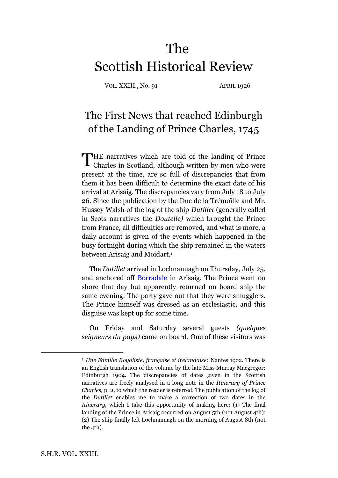# The Scottish Historical Review

VOL. XXIII., No. 91 APRIL 1926

## The First News that reached Edinburgh of the Landing of Prince Charles, 1745

HE narratives which are told of the landing of Prince THE narratives which are told of the landing of Prince Charles in Scotland, although written by men who were present at the time, are so full of discrepancies that from them it has been difficult to determine the exact date of his arrival at Arisaig. The discrepancies vary from July 18 to July 26. Since the publication by the Duc de la Trémoïlle and Mr. Hussey Walsh of the log of the ship *Dutillet* (generally called in Scots narratives the *Doutelle)* which brought the Prince from France, all difficulties are removed, and what is more, a daily account is given of the events which happened in the busy fortnight during which the ship remained in the waters between Arisaig and Moidart.<sup>1</sup>

The *Dutillet* arrived in Lochnanuagh on Thursday, July 25, and anchored off [Borradale](http://maps.google.com/maps/ms?hl=en&ie=UTF8&msa=0&msid=211561256757863135652.00044b3c14278bf4f5a47&ll=56.878812,-5.811768&spn=0.151202,0.302467&t=h&z=12&iwloc=00044f1516bf8f1b5b52d) in Arisaig. The Prince went on shore that day but apparently returned on board ship the same evening. The party gave out that they were smugglers. The Prince himself was dressed as an ecclesiastic, and this disguise was kept up for some time.

On Friday and Saturday several guests *(quelques seigneurs du pays)* came on board. One of these visitors was

<sup>1</sup> *Une Famille Royaliste, française et irelandaise:* Nantes 19o2. There is an English translation of the volume by the late Miss Murray Macgregor: Edinburgh 1904. The discrepancies of dates given in the Scottish narratives are freely analysed in a long note in the *Itinerary of Prince Charles,* p. 2, to which the reader is referred. The publication of the log of the *Dutillet* enables me to make a correction of two dates in the *Itinerary*, which I take this opportunity of making here: (1) The final landing of the Prince in Arisaig occurred on August 5th (not August 4th); (2) The ship finally left Lochnanuagh on the morning of August 8th (not the 4th).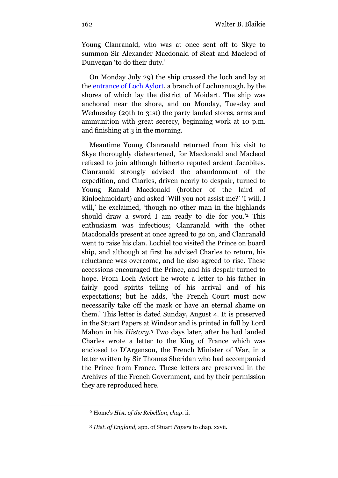Young Clanranald, who was at once sent off to Skye to summon Sir Alexander Macdonald of Sleat and Macleod of Dunvegan 'to do their duty.'

On Monday July 29) the ship crossed the loch and lay at the [entrance of Loch Aylort,](http://maps.google.com/maps/ms?hl=en&ie=UTF8&msa=0&msid=211561256757863135652.00044b3c14278bf4f5a47&ll=56.864552,-5.811768&spn=0.15126,0.302467&t=h&z=12&iwloc=0004578cab09bb5c07759) a branch of Lochnanuagh, by the shores of which lay the district of Moidart. The ship was anchored near the shore, and on Monday, Tuesday and Wednesday (29th to 31st) the party landed stores, arms and ammunition with great secrecy, beginning work at 10 p.m. and finishing at 3 in the morning.

Meantime Young Clanranald returned from his visit to Skye thoroughly disheartened, for Macdonald and Macleod refused to join although hitherto reputed ardent Jacobites. Clanranald strongly advised the abandonment of the expedition, and Charles, driven nearly to despair, turned to Young Ranald Macdonald (brother of the laird of Kinlochmoidart) and asked 'Will you not assist me?' 'I will, I will,' he exclaimed, 'though no other man in the highlands should draw a sword I am ready to die for you.' <sup>2</sup> This enthusiasm was infectious; Clanranald with the other Macdonalds present at once agreed to go on, and Clanranald went to raise his clan. Lochiel too visited the Prince on board ship, and although at first he advised Charles to return, his reluctance was overcome, and he also agreed to rise. These accessions encouraged the Prince, and his despair turned to hope. From Loch Aylort he wrote a letter to his father in fairly good spirits telling of his arrival and of his expectations; but he adds, 'the French Court must now necessarily take off the mask or have an eternal shame on them.' This letter is dated Sunday, August 4. It is preserved in the Stuart Papers at Windsor and is printed in full by Lord Mahon in his *History.<sup>3</sup>* Two days later, after he had landed Charles wrote a letter to the King of France which was enclosed to D'Argenson, the French Minister of War, in a letter written by Sir Thomas Sheridan who had accompanied the Prince from France. These letters are preserved in the Archives of the French Government, and by their permission they are reproduced here.

<sup>2</sup> Home's *Hist. of the Rebellion, chap*. ii.

<sup>3</sup> *Hist. of England,* app. of Stuart *Papers* to chap. xxvii.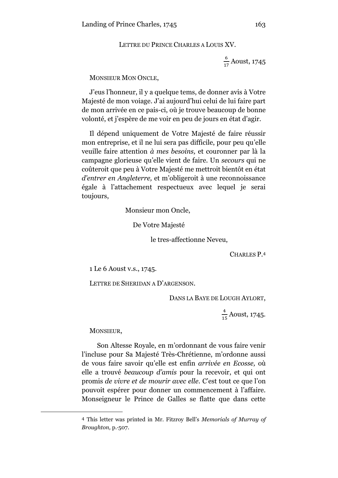LETTRE DU PRINCE CHARLES A LOUIS XV.

6  $\frac{6}{17}$  Aoust, 1745

MONSIEUR MON ONCLE,

J'eus l'honneur, il y a quelque tems, de donner avis à Votre Majesté de mon voiage. J'ai aujourd'hui celui de lui faire part de mon arrivée en ce pais-ci, où je trouve beaucoup de bonne volonté, et j'espère de me voir en peu de jours en état d'agir.

Il dépend uniquement de Votre Majesté de faire réussir mon entreprise, et il ne lui sera pas difficile, pour peu qu'elle veuille faire attention *à mes besoins,* et couronner par là la campagne glorieuse qu'elle vient de faire. Un *secours* qui ne coûteroit que peu à Votre Majesté me mettroit bientôt en état *d'entrer en Angleterre,* et m'obligeroit à une reconnoissance égale à l'attachement respectueux avec lequel je serai toujours,

Monsieur mon Oncle,

De Votre Majesté

le tres-affectionne Neveu,

CHARLES P. 4

1 Le 6 Aoust v.s., 1745.

LETTRE DE SHERIDAN A D'ARGENSON.

DANS LA BAYE DE LOUGH AYLORT,

 $\overline{\mathbf{4}}$  $\frac{4}{15}$  Aoust, 1745.

MONSIEUR,

<u>.</u>

Son Altesse Royale, en m'ordonnant de vous faire venir l'incluse pour Sa Majesté Très-Chrétienne, m'ordonne aussi de vous faire savoir qu'elle est enfin *arrivée en Ecosse,* où elle a trouvé *beaucoup d'amis* pour la recevoir, et qui ont promis *de vivre et de mourir avec elle.* C'est tout ce que l'on pouvoit espérer pour donner un commencement à l'affaire. Monseigneur le Prince de Galles se flatte que dans cette

<sup>4</sup> This letter was printed in Mr. Fitzroy Bell's *Memorials of Murray of Broughton,* p.·507.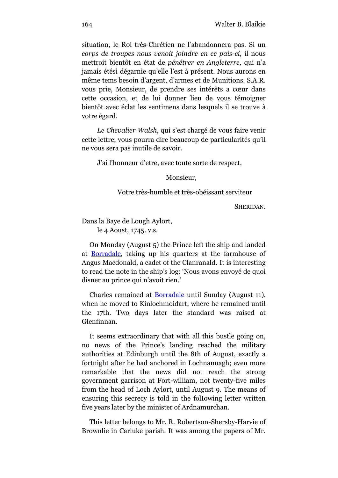situation, le Roi très-Chrétien ne l'abandonnera pas. Si un *corps de troupes nous venoit joindre en ce pais-ci,* il nous mettroit bientôt en état de *pénétrer en Angleterre,* qui n'a jamais étési dégarnie qu'elle l'est à présent. Nous aurons en même tems besoin d'argent, d'armes et de Munitions. S.A.R. vous prie, Monsieur, de prendre ses intérêts a cœur dans cette occasion, et de lui donner lieu de vous témoigner bientôt avec éclat les sentimens dans lesquels il se trouve à votre égard.

*Le Chevalier Walsh,* qui s'est chargé de vous faire venir cette lettre, vous pourra dire beaucoup de particularités qu'il ne vous sera pas inutile de savoir.

J'ai l'honneur d'etre, avec toute sorte de respect,

Monsieur,

### Votre très-humble et très-obéissant serviteur

SHERIDAN.

Dans la Baye de Lough Aylort,

le 4 Aoust, 1745. v.s.

On Monday (August 5) the Prince left the ship and landed at [Borradale,](http://maps.google.com/maps/ms?hl=en&ie=UTF8&msa=0&msid=211561256757863135652.00044b3c14278bf4f5a47&ll=56.878812,-5.811768&spn=0.151202,0.302467&t=h&z=12&iwloc=00044f1516bf8f1b5b52d) taking up his quarters at the farmhouse of Angus Macdonald, a cadet of the Clanranald. It is interesting to read the note in the ship's log: 'Nous avons envoyé de quoi disner au prince qui n'avoit rien.'

Charles remained at [Borradale](http://maps.google.com/maps/ms?hl=en&ie=UTF8&msa=0&msid=211561256757863135652.00044b3c14278bf4f5a47&ll=56.878812,-5.811768&spn=0.151202,0.302467&t=h&z=12&iwloc=00044f1516bf8f1b5b52d) until Sunday (August 11), when he moved to Kinlochmoidart, where he remained until the 17th. Two days later the standard was raised at Glenfinnan.

It seems extraordinary that with all this bustle going on, no news of the Prince's landing reached the military authorities at Edinburgh until the 8th of August, exactly a fortnight after he had anchored in Lochnanuagh; even more remarkable that the news did not reach the strong government garrison at Fort-william, not twenty-five miles from the head of Loch Aylort, until August 9. The means of ensuring this secrecy is told in the folIowing letter written five years later by the minister of Ardnamurchan.

This letter belongs to Mr. R. Robertson-Shersby-Harvie of Brownlie in Carluke parish. It was among the papers of Mr.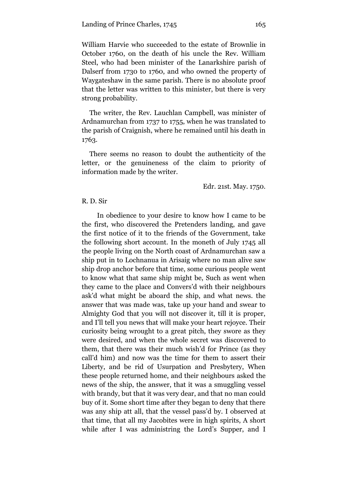William Harvie who succeeded to the estate of Brownlie in October 1760, on the death of his uncle the Rev. William Steel, who had been minister of the Lanarkshire parish of Dalserf from 1730 to 1760, and who owned the property of Waygateshaw in the same parish. There is no absolute proof that the letter was written to this minister, but there is very strong probability.

The writer, the Rev. Lauchlan Campbell, was minister of Ardnamurchan from 1737 to 1755, when he was translated to the parish of Craignish, where he remained until his death in 1763.

There seems no reason to doubt the authenticity of the letter, or the genuineness of the claim to priority of information made by the writer.

Edr. 21st. May. 1750.

#### R. D. Sir

In obedience to your desire to know how I came to be the first, who discovered the Pretenders landing, and gave the first notice of it to the friends of the Government, take the following short account. In the moneth of July 1745 all the people living on the North coast of Ardnamurchan saw a ship put in to Lochnanua in Arisaig where no man alive saw ship drop anchor before that time, some curious people went to know what that same ship might be, Such as went when they came to the place and Convers'd with their neighbours ask'd what might be aboard the ship, and what news. the answer that was made was, take up your hand and swear to Almighty God that you will not discover it, till it is proper, and I'll tell you news that will make your heart rejoyce. Their curiosity being wrought to a great pitch, they swore as they were desired, and when the whole secret was discovered to them, that there was their much wish'd for Prince (as they call'd him) and now was the time for them to assert their Liberty, and be rid of Usurpation and Presbytery, When these people returned home, and their neighbours asked the news of the ship, the answer, that it was a smuggling vessel with brandy, but that it was very dear, and that no man could buy of it. Some short time after they began to deny that there was any ship att all, that the vessel pass'd by. I observed at that time, that all my Jacobites were in high spirits, A short while after I was administring the Lord's Supper, and I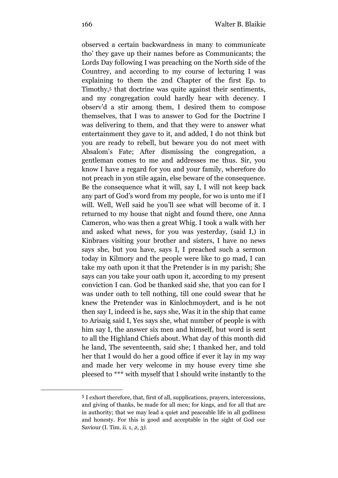observed a certain backwardness in many to communicate tho' they gave up their names before as Communicants; the Lords Day following I was preaching on the North side of the Countrey, and according to my course of lecturing I was explaining to them the 2nd Chapter of the first Ep. to Timothy,<sup>5</sup> that doctrine was quite against their sentiments, and my congregation could hardly hear with decency. I observ'd a stir among them, I desired them to compose themselves, that I was to answer to God for the Doctrine I was delivering to them, and that they were to answer what entertainment they gave to it, and added, I do not think but you are ready to rebell, but beware you do not meet with Absalom's Fate; After dismissing the congregation, a gentleman comes to me and addresses me thus. Sir, you know I have a regard for you and your family, wherefore do not preach in yon stile again, else beware of the consequence. Be the consequence what it will, say I, I will not keep back any part of God's word from my people, for wo is unto me if I will. Well, Well said he you'll see what will become of it. I returned to my house that night and found there, one Anna Cameron, who was then a great Whig. I took a walk with her and asked what news, for you was yesterday, (said I,) in Kinbraes visiting your brother and sisters, I have no news says she, but you have, says I, I preached such a sermon today in Kilmory and the people were like to go mad, I can take my oath upon it that the Pretender is in my parish; She says can you take your oath upon it, according to my present conviction I can. God be thanked said she, that you can for I was under oath to tell nothing, till one could swear that he knew the Pretender was in Kinlochmoydert, and is he not then say I, indeed is he, says she, Was it in the ship that came to Arisaig said I, Yes says she, what number of people is with him say I, the answer six men and himself, but word is sent to all the Highland Chiefs about. What day of this month did he land, The seventeenth, said she; I thanked her, and told her that I would do her a good office if ever it lay in my way and made her very welcome in my house every time she pleesed to \*\*\* with myself that I should write instantly to the

<sup>5</sup> I exhort therefore, that, first of all, supplications, prayers, intercessions, and giving of thanks, be made for all men; for kings, and for all that are in authority; that we may lead a quiet and peaceable life in all godliness and honesty. For this is good and acceptable in the sight of God our Saviour (I. Tim. ii. 1, *2, 3).*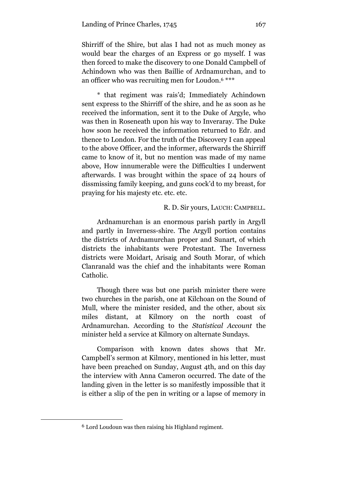Shirriff of the Shire, but alas I had not as much money as would bear the charges of an Express or go myself. I was then forced to make the discovery to one Donald Campbell of Achindown who was then Baillie of Ardnamurchan, and to an officer who was recruiting men for Loudon.<sup>6</sup> \*\*\*

\* that regiment was rais'd; Immediately Achindown sent express to the Shirriff of the shire, and he as soon as he received the information, sent it to the Duke of Argyle, who was then in Roseneath upon his way to Inveraray. The Duke how soon he received the information returned to Edr. and thence to London. For the truth of the Discovery I can appeal to the above Officer, and the informer, afterwards the Shirriff came to know of it, but no mention was made of my name above, How innumerable were the Difficulties I underwent afterwards. I was brought within the space of 24 hours of dissmissing family keeping, and guns cock'd to my breast, for praying for his majesty etc. etc. etc.

#### R. D. Sir yours, LAUCH: CAMPBELL.

Ardnamurchan is an enormous parish partly in Argyll and partly in Inverness-shire. The Argyll portion contains the districts of Ardnamurchan proper and Sunart, of which districts the inhabitants were Protestant. The Inverness districts were Moidart, Arisaig and South Morar, of which Clanranald was the chief and the inhabitants were Roman Catholic.

Though there was but one parish minister there were two churches in the parish, one at Kilchoan on the Sound of Mull, where the minister resided, and the other, about six miles distant, at Kilmory on the north coast of Ardnamurchan. According to the *Statistical Account* the minister held a service at Kilmory on alternate Sundays.

Comparison with known dates shows that Mr. Campbell's sermon at Kilmory, mentioned in his letter, must have been preached on Sunday, August 4th, and on this day the interview with Anna Cameron occurred. The date of the landing given in the letter is so manifestly impossible that it is either a slip of the pen in writing or a lapse of memory in

<sup>6</sup> Lord Loudoun was then raising his Highland regiment.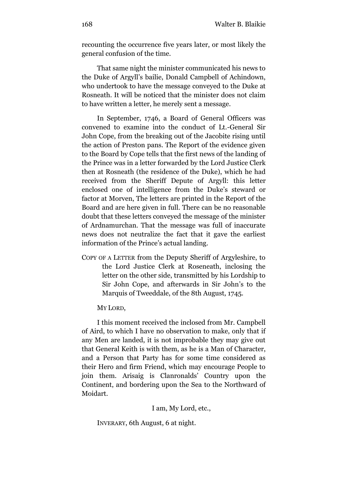recounting the occurrence five years later, or most likely the general confusion of the time.

That same night the minister communicated his news to the Duke of Argyll's bailie, Donald Campbell of Achindown, who undertook to have the message conveyed to the Duke at Rosneath. It will be noticed that the minister does not claim to have written a letter, he merely sent a message.

In September, 1746, a Board of General Officers was convened to examine into the conduct of Lt.-General Sir John Cope, from the breaking out of the Jacobite rising until the action of Preston pans. The Report of the evidence given to the Board by Cope tells that the first news of the landing of the Prince was in a letter forwarded by the Lord Justice Clerk then at Rosneath (the residence of the Duke), which he had received from the Sheriff Depute of Argyll: this letter enclosed one of intelligence from the Duke's steward or factor at Morven, The letters are printed in the Report of the Board and are here given in full. There can be no reasonable doubt that these letters conveyed the message of the minister of Ardnamurchan. That the message was full of inaccurate news does not neutralize the fact that it gave the earliest information of the Prince's actual landing.

COPY OF A LETTER from the Deputy Sheriff of Argyleshire, to the Lord Justice Clerk at Roseneath, inclosing the letter on the other side, transmitted by his Lordship to Sir John Cope, and afterwards in Sir John's to the Marquis of Tweeddale, of the 8th August, 1745.

MY LORD,

I this moment received the inclosed from Mr. Campbell of Aird, to which I have no observation to make, only that if any Men are landed, it is not improbable they may give out that General Keith is with them, as he is a Man of Character, and a Person that Party has for some time considered as their Hero and firm Friend, which may encourage People to join them. Arisaig is Clanronalds' Country upon the Continent, and bordering upon the Sea to the Northward of Moidart.

I am, My Lord, etc.,

INVERARY, 6th August, 6 at night.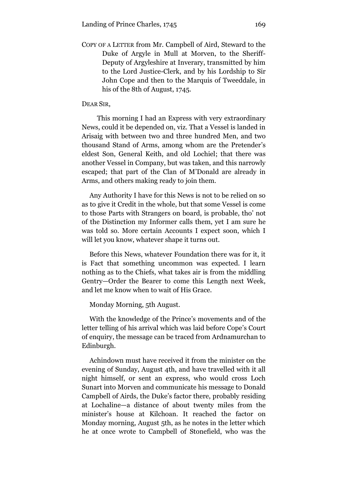COPY OF A LETTER from Mr. Campbell of Aird, Steward to the Duke of Argyle in Mull at Morven, to the Sheriff-Deputy of Argyleshire at Inverary, transmitted by him to the Lord Justice-Clerk, and by his Lordship to Sir John Cope and then to the Marquis of Tweeddale, in his of the 8th of August, 1745.

#### DEAR SIR,

This morning I had an Express with very extraordinary News, could it be depended on, viz. That a Vessel is landed in Arisaig with between two and three hundred Men, and two thousand Stand of Arms, among whom are the Pretender's eldest Son, General Keith, and old Lochiel; that there was another Vessel in Company, but was taken, and this narrowly escaped; that part of the Clan of M'Donald are already in Arms, and others making ready to join them.

Any Authority I have for this News is not to be relied on so as to give it Credit in the whole, but that some Vessel is come to those Parts with Strangers on board, is probable, tho' not of the Distinction my Informer calls them, yet I am sure he was told so. More certain Accounts I expect soon, which I will let you know, whatever shape it turns out.

Before this News, whatever Foundation there was for it, it is Fact that something uncommon was expected. I learn nothing as to the Chiefs, what takes air is from the middling Gentry—Order the Bearer to come this Length next Week, and let me know when to wait of His Grace.

Monday Morning, 5th August.

With the knowledge of the Prince's movements and of the letter telling of his arrival which was laid before Cope's Court of enquiry, the message can be traced from Ardnamurchan to Edinburgh.

Achindown must have received it from the minister on the evening of Sunday, August 4th, and have travelled with it all night himself, or sent an express, who would cross Loch Sunart into Morven and communicate his message to Donald Campbell of Airds, the Duke's factor there, probably residing at Lochaline—a distance of about twenty miles from the minister's house at Kilchoan. It reached the factor on Monday morning, August 5th, as he notes in the letter which he at once wrote to Campbell of Stonefield, who was the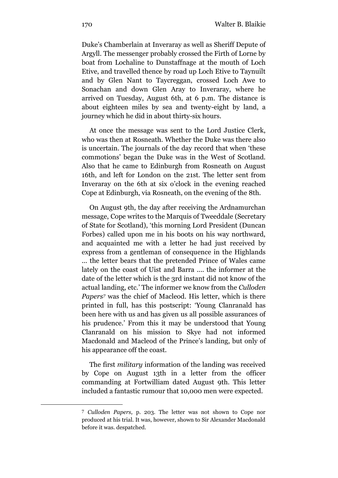Duke's Chamberlain at Inveraray as well as Sheriff Depute of Argyll. The messenger probably crossed the Firth of Lorne by boat from Lochaline to Dunstaffnage at the mouth of Loch Etive, and travelled thence by road up Loch Etive to Taynuilt and by Glen Nant to Taycreggan, crossed Loch Awe to Sonachan and down Glen Aray to Inveraray, where he arrived on Tuesday, August 6th, at 6 p.m. The distance is about eighteen miles by sea and twenty-eight by land, a journey which he did in about thirty-six hours.

At once the message was sent to the Lord Justice Clerk, who was then at Rosneath. Whether the Duke was there also is uncertain. The journals of the day record that when 'these commotions' began the Duke was in the West of Scotland. Also that he came to Edinburgh from Rosneath on August 16th, and left for London on the 21st. The letter sent from Inveraray on the 6th at six o'clock in the evening reached Cope at Edinburgh, via Rosneath, on the evening of the 8th.

On August 9th, the day after receiving the Ardnamurchan message, Cope writes to the Marquis of Tweeddale (Secretary of State for Scotland), 'this morning Lord President (Duncan Forbes) called upon me in his boots on his way northward, and acquainted me with a letter he had just received by express from a gentleman of consequence in the Highlands ... the letter bears that the pretended Prince of Wales came lately on the coast of Uist and Barra .... the informer at the date of the letter which is the 3rd instant did not know of the actual landing, etc.' The informer we know from the *Culloden Papers<sup>7</sup>* was the chief of Macleod. His letter, which is there printed in full, has this postscript: 'Young Clanranald has been here with us and has given us all possible assurances of his prudence.' From this it may be understood that Young Clanranald on his mission to Skye had not informed Macdonald and Macleod of the Prince's landing, but only of his appearance off the coast.

The first *military* information of the landing was received by Cope on August 13th in a letter from the officer commanding at Fortwilliam dated August 9th. This letter included a fantastic rumour that 10,000 men were expected.

<sup>7</sup> *Culloden Papers,* p. 203. The letter was not shown to Cope nor produced at his trial. It was, however, shown to Sir Alexander Macdonald before it was. despatched.